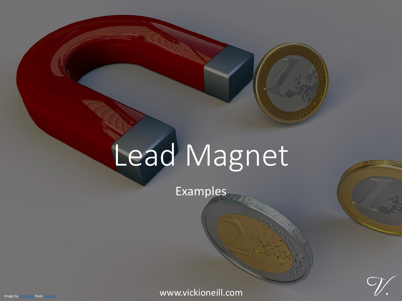## Lead Magnet

Examples

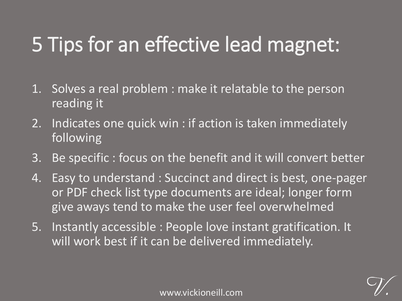## 5 Tips for an effective lead magnet:

- 1. Solves a real problem : make it relatable to the person reading it
- 2. Indicates one quick win : if action is taken immediately following
- 3. Be specific : focus on the benefit and it will convert better
- 4. Easy to understand : Succinct and direct is best, one-pager or PDF check list type documents are ideal; longer form give aways tend to make the user feel overwhelmed
- 5. Instantly accessible : People love instant gratification. It will work best if it can be delivered immediately.